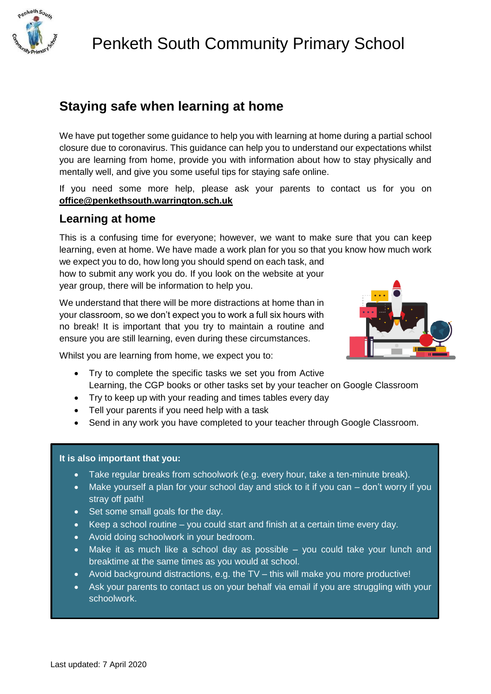

# **Staying safe when learning at home**

We have put together some guidance to help you with learning at home during a partial school closure due to coronavirus. This guidance can help you to understand our expectations whilst you are learning from home, provide you with information about how to stay physically and mentally well, and give you some useful tips for staying safe online.

If you need some more help, please ask your parents to contact us for you on **office@penkethsouth.warrington.sch.uk**

### **Learning at home**

This is a confusing time for everyone; however, we want to make sure that you can keep learning, even at home. We have made a work plan for you so that you know how much work

we expect you to do, how long you should spend on each task, and how to submit any work you do. If you look on the website at your year group, there will be information to help you.

We understand that there will be more distractions at home than in your classroom, so we don't expect you to work a full six hours with no break! It is important that you try to maintain a routine and ensure you are still learning, even during these circumstances.



Whilst you are learning from home, we expect you to:

- Try to complete the specific tasks we set you from Active Learning, the CGP books or other tasks set by your teacher on Google Classroom
- Try to keep up with your reading and times tables every day
- Tell your parents if you need help with a task
- Send in any work you have completed to your teacher through Google Classroom.

#### **It is also important that you:**

- Take regular breaks from schoolwork (e.g. every hour, take a ten-minute break).
- Make yourself a plan for your school day and stick to it if you can don't worry if you stray off path!
- Set some small goals for the day.
- Keep a school routine you could start and finish at a certain time every day.
- Avoid doing schoolwork in your bedroom.
- Make it as much like a school day as possible you could take your lunch and breaktime at the same times as you would at school.
- Avoid background distractions, e.g. the TV this will make you more productive!
- Ask your parents to contact us on your behalf via email if you are struggling with your schoolwork.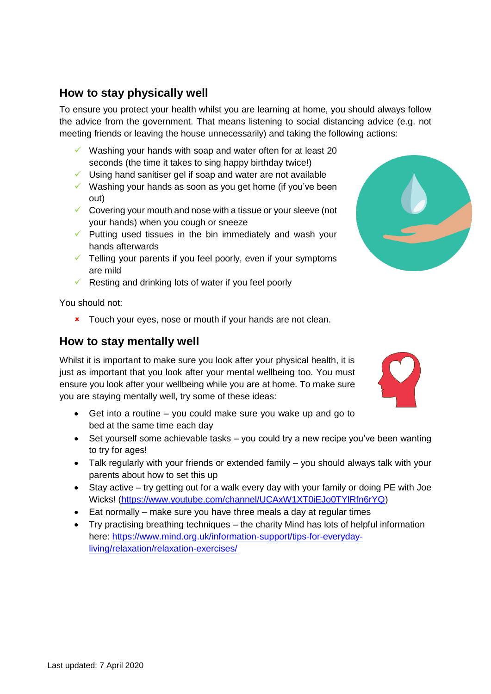### **How to stay physically well**

To ensure you protect your health whilst you are learning at home, you should always follow the advice from the government. That means listening to social distancing advice (e.g. not meeting friends or leaving the house unnecessarily) and taking the following actions:

- $\checkmark$  Washing your hands with soap and water often for at least 20 seconds (the time it takes to sing happy birthday twice!)
- $\checkmark$  Using hand sanitiser gel if soap and water are not available
- $\checkmark$  Washing your hands as soon as you get home (if you've been out)
- $\checkmark$  Covering your mouth and nose with a tissue or your sleeve (not your hands) when you cough or sneeze
- $\checkmark$  Putting used tissues in the bin immediately and wash your hands afterwards
- $\checkmark$  Telling your parents if you feel poorly, even if your symptoms are mild
- $\checkmark$  Resting and drinking lots of water if you feel poorly

You should not:

**x** Touch your eyes, nose or mouth if your hands are not clean.

#### **How to stay mentally well**

Whilst it is important to make sure you look after your physical health, it is just as important that you look after your mental wellbeing too. You must ensure you look after your wellbeing while you are at home. To make sure you are staying mentally well, try some of these ideas:

- Get into a routine you could make sure you wake up and go to bed at the same time each day
- Set yourself some achievable tasks you could try a new recipe you've been wanting to try for ages!
- Talk regularly with your friends or extended family you should always talk with your parents about how to set this up
- Stay active try getting out for a walk every day with your family or doing PE with Joe Wicks! [\(https://www.youtube.com/channel/UCAxW1XT0iEJo0TYlRfn6rYQ\)](https://www.youtube.com/channel/UCAxW1XT0iEJo0TYlRfn6rYQ)
- Eat normally make sure you have three meals a day at regular times
- Try practising breathing techniques the charity Mind has lots of helpful information here: [https://www.mind.org.uk/information-support/tips-for-everyday](https://www.mind.org.uk/information-support/tips-for-everyday-living/relaxation/relaxation-exercises/)[living/relaxation/relaxation-exercises/](https://www.mind.org.uk/information-support/tips-for-everyday-living/relaxation/relaxation-exercises/)